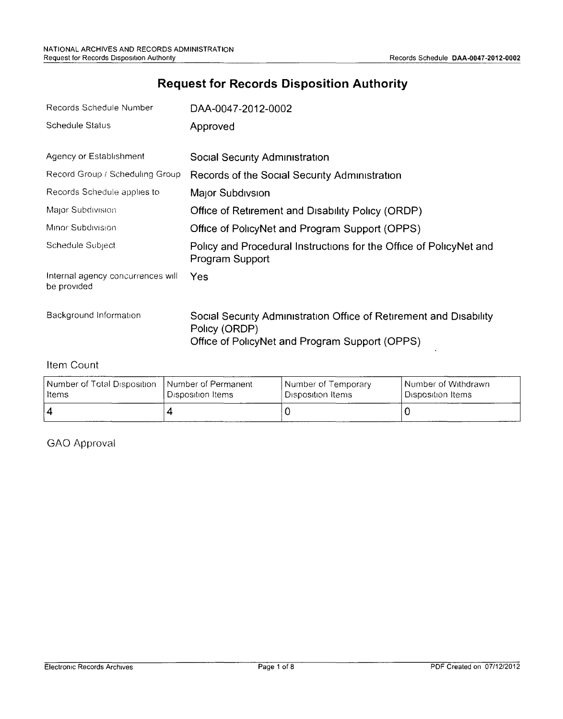# **Request for Records Disposition Authority**

| Records Schedule Number                          | DAA-0047-2012-0002                                                                                                                    |
|--------------------------------------------------|---------------------------------------------------------------------------------------------------------------------------------------|
| <b>Schedule Status</b>                           | Approved                                                                                                                              |
| Agency or Establishment                          | Social Security Administration                                                                                                        |
| Record Group / Scheduling Group                  | Records of the Social Security Administration                                                                                         |
| Records Schedule applies to                      | Major Subdivsion                                                                                                                      |
| Major Subdivision                                | Office of Retirement and Disability Policy (ORDP)                                                                                     |
| Minor Subdivision                                | Office of PolicyNet and Program Support (OPPS)                                                                                        |
| Schedule Subject                                 | Policy and Procedural Instructions for the Office of PolicyNet and<br>Program Support                                                 |
| Internal agency concurrences will<br>be provided | Yes                                                                                                                                   |
| Background Information                           | Social Security Administration Office of Retirement and Disability<br>Policy (ORDP)<br>Office of PolicyNet and Program Support (OPPS) |

#### Item Count

| Number of Total Disposition | l Number of Permanent | l Number of Temporary. | l Number of Withdrawn. |
|-----------------------------|-----------------------|------------------------|------------------------|
| l Items                     | Disposition Items     | Disposition Items      | ' Disposition Items :  |
| l 4                         |                       |                        |                        |

GAO Approval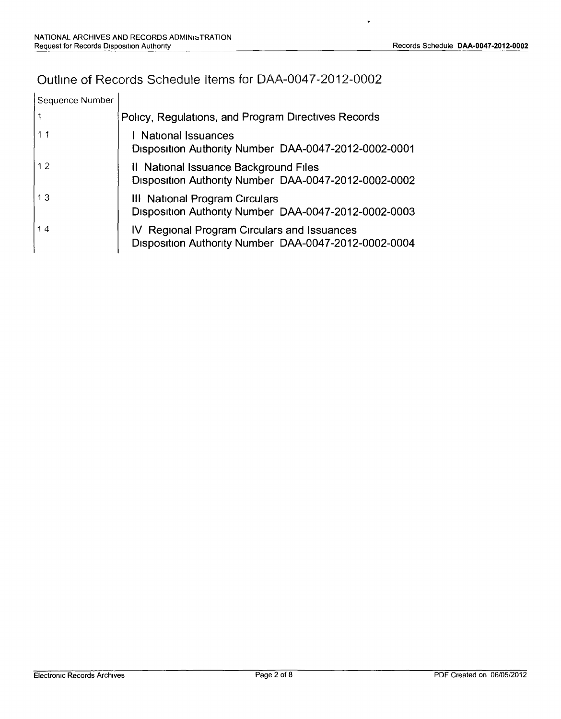# Outline of Records Schedule Items for DAA-0047-2012-0002

| Sequence Number |                                                                                                     |
|-----------------|-----------------------------------------------------------------------------------------------------|
|                 | Policy, Regulations, and Program Directives Records                                                 |
| 11              | I National Issuances<br>Disposition Authority Number DAA-0047-2012-0002-0001                        |
| 12              | Il National Issuance Background Files<br>Disposition Authority Number DAA-0047-2012-0002-0002       |
| 13              | III National Program Circulars<br>Disposition Authority Number DAA-0047-2012-0002-0003              |
| 14              | IV Regional Program Circulars and Issuances<br>Disposition Authority Number DAA-0047-2012-0002-0004 |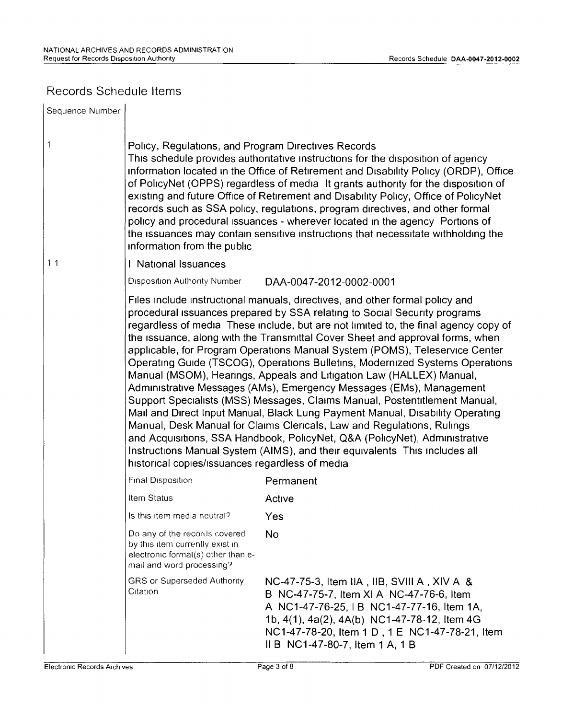### Records Schedule Items

| Sequence Number |                                                                                                                                                                                                                                                                                                                                                                                                                                                                                                                                                                                                                                                                                                  |                                                                                                                                                                                                                                                                                                                                                                                                                                                                                                                                                                                                                                                                                                                                                                                                                                                                                                                                                                                                                                                      |  |
|-----------------|--------------------------------------------------------------------------------------------------------------------------------------------------------------------------------------------------------------------------------------------------------------------------------------------------------------------------------------------------------------------------------------------------------------------------------------------------------------------------------------------------------------------------------------------------------------------------------------------------------------------------------------------------------------------------------------------------|------------------------------------------------------------------------------------------------------------------------------------------------------------------------------------------------------------------------------------------------------------------------------------------------------------------------------------------------------------------------------------------------------------------------------------------------------------------------------------------------------------------------------------------------------------------------------------------------------------------------------------------------------------------------------------------------------------------------------------------------------------------------------------------------------------------------------------------------------------------------------------------------------------------------------------------------------------------------------------------------------------------------------------------------------|--|
| 1               | Policy, Regulations, and Program Directives Records<br>This schedule provides authoritative instructions for the disposition of agency<br>information located in the Office of Retirement and Disability Policy (ORDP), Office<br>of PolicyNet (OPPS) regardless of media It grants authority for the disposition of<br>existing and future Office of Retirement and Disability Policy, Office of PolicyNet<br>records such as SSA policy, regulations, program directives, and other formal<br>policy and procedural issuances - wherever located in the agency Portions of<br>the issuances may contain sensitive instructions that necessitate withholding the<br>information from the public |                                                                                                                                                                                                                                                                                                                                                                                                                                                                                                                                                                                                                                                                                                                                                                                                                                                                                                                                                                                                                                                      |  |
| 1 <sub>1</sub>  | National Issuances                                                                                                                                                                                                                                                                                                                                                                                                                                                                                                                                                                                                                                                                               |                                                                                                                                                                                                                                                                                                                                                                                                                                                                                                                                                                                                                                                                                                                                                                                                                                                                                                                                                                                                                                                      |  |
|                 | <b>Disposition Authority Number</b>                                                                                                                                                                                                                                                                                                                                                                                                                                                                                                                                                                                                                                                              | DAA-0047-2012-0002-0001                                                                                                                                                                                                                                                                                                                                                                                                                                                                                                                                                                                                                                                                                                                                                                                                                                                                                                                                                                                                                              |  |
|                 | historical copies/issuances regardless of media                                                                                                                                                                                                                                                                                                                                                                                                                                                                                                                                                                                                                                                  | Files include instructional manuals, directives, and other formal policy and<br>procedural issuances prepared by SSA relating to Social Security programs<br>regardless of media These include, but are not limited to, the final agency copy of<br>the issuance, along with the Transmittal Cover Sheet and approval forms, when<br>applicable, for Program Operations Manual System (POMS), Teleservice Center<br>Operating Guide (TSCOG), Operations Bulletins, Modernized Systems Operations<br>Manual (MSOM), Hearings, Appeals and Litigation Law (HALLEX) Manual,<br>Administrative Messages (AMs), Emergency Messages (EMs), Management<br>Support Specialists (MSS) Messages, Claims Manual, Postentitlement Manual,<br>Mail and Direct Input Manual, Black Lung Payment Manual, Disability Operating<br>Manual, Desk Manual for Claims Clericals, Law and Regulations, Rulings<br>and Acquisitions, SSA Handbook, PolicyNet, Q&A (PolicyNet), Administrative<br>Instructions Manual System (AIMS), and their equivalents This includes all |  |
|                 | Final Disposition                                                                                                                                                                                                                                                                                                                                                                                                                                                                                                                                                                                                                                                                                | Permanent                                                                                                                                                                                                                                                                                                                                                                                                                                                                                                                                                                                                                                                                                                                                                                                                                                                                                                                                                                                                                                            |  |
|                 | Item Status                                                                                                                                                                                                                                                                                                                                                                                                                                                                                                                                                                                                                                                                                      | Active                                                                                                                                                                                                                                                                                                                                                                                                                                                                                                                                                                                                                                                                                                                                                                                                                                                                                                                                                                                                                                               |  |
|                 | Is this item media neutral?                                                                                                                                                                                                                                                                                                                                                                                                                                                                                                                                                                                                                                                                      | Yes                                                                                                                                                                                                                                                                                                                                                                                                                                                                                                                                                                                                                                                                                                                                                                                                                                                                                                                                                                                                                                                  |  |
|                 | Do any of the records covered<br>by this item currently exist in<br>electronic formal(s) other than e-<br>mail and word processing?                                                                                                                                                                                                                                                                                                                                                                                                                                                                                                                                                              | <b>No</b>                                                                                                                                                                                                                                                                                                                                                                                                                                                                                                                                                                                                                                                                                                                                                                                                                                                                                                                                                                                                                                            |  |
|                 | <b>GRS or Superseded Authority</b><br>Citation                                                                                                                                                                                                                                                                                                                                                                                                                                                                                                                                                                                                                                                   | NC-47-75-3, Item IIA, IIB, SVIII A, XIV A &<br>B NC-47-75-7, Item XI A NC-47-76-6, Item<br>A NC1-47-76-25, IB NC1-47-77-16, Item 1A,<br>1b, 4(1), 4a(2), 4A(b) NC1-47-78-12, Item 4G<br>NC1-47-78-20, Item 1 D, 1 E NC1-47-78-21, Item<br>II B NC1-47-80-7, Item 1 A, 1 B                                                                                                                                                                                                                                                                                                                                                                                                                                                                                                                                                                                                                                                                                                                                                                            |  |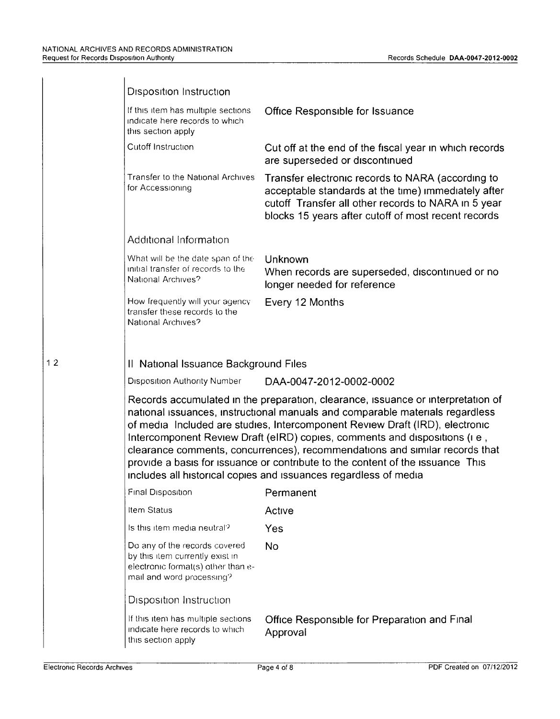|    | <b>Disposition Instruction</b>                                                                                                                                                                                                                                                                                                                                                                                                                                                                                                                                        |                                                                                                                                                                                                                        |  |
|----|-----------------------------------------------------------------------------------------------------------------------------------------------------------------------------------------------------------------------------------------------------------------------------------------------------------------------------------------------------------------------------------------------------------------------------------------------------------------------------------------------------------------------------------------------------------------------|------------------------------------------------------------------------------------------------------------------------------------------------------------------------------------------------------------------------|--|
|    | If this item has multiple sections<br>indicate here records to which<br>this section apply                                                                                                                                                                                                                                                                                                                                                                                                                                                                            | Office Responsible for Issuance                                                                                                                                                                                        |  |
|    | Cutoff Instruction                                                                                                                                                                                                                                                                                                                                                                                                                                                                                                                                                    | Cut off at the end of the fiscal year in which records<br>are superseded or discontinued                                                                                                                               |  |
|    | Transfer to the National Archives<br>for Accessioning                                                                                                                                                                                                                                                                                                                                                                                                                                                                                                                 | Transfer electronic records to NARA (according to<br>acceptable standards at the time) immediately after<br>cutoff Transfer all other records to NARA in 5 year<br>blocks 15 years after cutoff of most recent records |  |
|    | Additional Information                                                                                                                                                                                                                                                                                                                                                                                                                                                                                                                                                |                                                                                                                                                                                                                        |  |
|    | What will be the date span of the<br>initial transfer of records to the<br>National Archives?                                                                                                                                                                                                                                                                                                                                                                                                                                                                         | Unknown<br>When records are superseded, discontinued or no<br>longer needed for reference                                                                                                                              |  |
|    | How frequently will your agency<br>transfer these records to the<br>National Archives?                                                                                                                                                                                                                                                                                                                                                                                                                                                                                | Every 12 Months                                                                                                                                                                                                        |  |
| 12 | Il National Issuance Background Files                                                                                                                                                                                                                                                                                                                                                                                                                                                                                                                                 |                                                                                                                                                                                                                        |  |
|    | Disposition Authority Number                                                                                                                                                                                                                                                                                                                                                                                                                                                                                                                                          | DAA-0047-2012-0002-0002                                                                                                                                                                                                |  |
|    | Records accumulated in the preparation, clearance, issuance or interpretation of<br>national issuances, instructional manuals and comparable materials regardless<br>of media Included are studies, Intercomponent Review Draft (IRD), electronic<br>Intercomponent Review Draft (eIRD) copies, comments and dispositions (i.e.,<br>clearance comments, concurrences), recommendations and similar records that<br>provide a basis for issuance or contribute to the content of the issuance This<br>includes all historical copies and issuances regardless of media |                                                                                                                                                                                                                        |  |
|    | Final Disposition                                                                                                                                                                                                                                                                                                                                                                                                                                                                                                                                                     | Permanent                                                                                                                                                                                                              |  |
|    | Item Status                                                                                                                                                                                                                                                                                                                                                                                                                                                                                                                                                           | Active                                                                                                                                                                                                                 |  |
|    | Is this item media neutral?                                                                                                                                                                                                                                                                                                                                                                                                                                                                                                                                           | Yes                                                                                                                                                                                                                    |  |
|    | Do any of the records covered<br>by this item currently exist in<br>electronic format(s) other than e-<br>mail and word processing?                                                                                                                                                                                                                                                                                                                                                                                                                                   | No                                                                                                                                                                                                                     |  |
|    | Disposition Instruction                                                                                                                                                                                                                                                                                                                                                                                                                                                                                                                                               |                                                                                                                                                                                                                        |  |
|    | If this item has multiple sections<br>indicate here records to which<br>this section apply                                                                                                                                                                                                                                                                                                                                                                                                                                                                            | Office Responsible for Preparation and Final<br>Approval                                                                                                                                                               |  |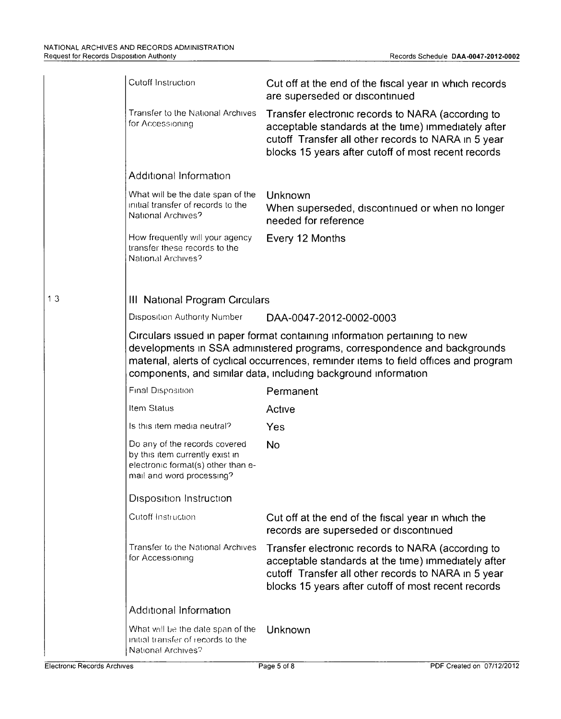|    | Cutoff Instruction                                                                                                                                                                                                                                                                                                | Cut off at the end of the fiscal year in which records<br>are superseded or discontinued                                                                                                                               |  |  |
|----|-------------------------------------------------------------------------------------------------------------------------------------------------------------------------------------------------------------------------------------------------------------------------------------------------------------------|------------------------------------------------------------------------------------------------------------------------------------------------------------------------------------------------------------------------|--|--|
|    | Transfer to the National Archives<br>for Accessioning                                                                                                                                                                                                                                                             | Transfer electronic records to NARA (according to<br>acceptable standards at the time) immediately after<br>cutoff Transfer all other records to NARA in 5 year<br>blocks 15 years after cutoff of most recent records |  |  |
|    | Additional Information                                                                                                                                                                                                                                                                                            |                                                                                                                                                                                                                        |  |  |
|    | What will be the date span of the<br>initial transfer of records to the<br>National Archives?                                                                                                                                                                                                                     | Unknown<br>When superseded, discontinued or when no longer<br>needed for reference                                                                                                                                     |  |  |
|    | How frequently will your agency<br>transfer these records to the<br>National Archives?                                                                                                                                                                                                                            | Every 12 Months                                                                                                                                                                                                        |  |  |
|    |                                                                                                                                                                                                                                                                                                                   |                                                                                                                                                                                                                        |  |  |
| 13 | III National Program Circulars                                                                                                                                                                                                                                                                                    |                                                                                                                                                                                                                        |  |  |
|    | Disposition Authority Number                                                                                                                                                                                                                                                                                      | DAA-0047-2012-0002-0003                                                                                                                                                                                                |  |  |
|    | Circulars issued in paper format containing information pertaining to new<br>developments in SSA administered programs, correspondence and backgrounds<br>material, alerts of cyclical occurrences, reminder items to field offices and program<br>components, and similar data, including background information |                                                                                                                                                                                                                        |  |  |
|    | Final Disposition                                                                                                                                                                                                                                                                                                 | Permanent                                                                                                                                                                                                              |  |  |
|    | Item Status                                                                                                                                                                                                                                                                                                       | Active                                                                                                                                                                                                                 |  |  |
|    | Is this item media neutral?                                                                                                                                                                                                                                                                                       | Yes                                                                                                                                                                                                                    |  |  |
|    | Do any of the records covered<br>by this item currently exist in<br>electronic format(s) other than e-<br>mail and word processing?                                                                                                                                                                               | <b>No</b>                                                                                                                                                                                                              |  |  |
|    | <b>Disposition Instruction</b>                                                                                                                                                                                                                                                                                    |                                                                                                                                                                                                                        |  |  |
|    | Cutoff Instruction                                                                                                                                                                                                                                                                                                | Cut off at the end of the fiscal year in which the<br>records are superseded or discontinued                                                                                                                           |  |  |
|    | Transfer to the National Archives<br>for Accessioning                                                                                                                                                                                                                                                             | Transfer electronic records to NARA (according to<br>acceptable standards at the time) immediately after<br>cutoff Transfer all other records to NARA in 5 year<br>blocks 15 years after cutoff of most recent records |  |  |
|    | Additional Information                                                                                                                                                                                                                                                                                            |                                                                                                                                                                                                                        |  |  |
|    | What will be the date span of the<br>initial transfer of records to the<br>National Archives?                                                                                                                                                                                                                     | Unknown                                                                                                                                                                                                                |  |  |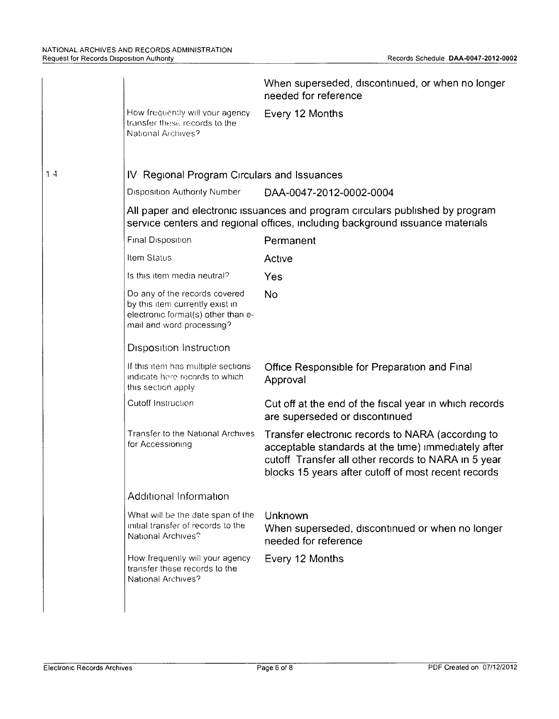|    |                                                                                                                                                                | When superseded, discontinued, or when no longer<br>needed for reference                                                                                                                                               |  |  |
|----|----------------------------------------------------------------------------------------------------------------------------------------------------------------|------------------------------------------------------------------------------------------------------------------------------------------------------------------------------------------------------------------------|--|--|
|    | How frequently will your agency<br>transfer these records to the<br>National Archives?                                                                         | Every 12 Months                                                                                                                                                                                                        |  |  |
| 14 | IV Regional Program Circulars and Issuances                                                                                                                    |                                                                                                                                                                                                                        |  |  |
|    | Disposition Authority Number                                                                                                                                   | DAA-0047-2012-0002-0004                                                                                                                                                                                                |  |  |
|    | All paper and electronic issuances and program circulars published by program<br>service centers and regional offices, including background issuance materials |                                                                                                                                                                                                                        |  |  |
|    | Final Disposition                                                                                                                                              | Permanent                                                                                                                                                                                                              |  |  |
|    | Item Status                                                                                                                                                    | Active                                                                                                                                                                                                                 |  |  |
|    | Is this item media neutral?                                                                                                                                    | Yes                                                                                                                                                                                                                    |  |  |
|    | Do any of the records covered<br>by this item currently exist in<br>electronic formal(s) other than e-<br>mail and word processing?                            | No                                                                                                                                                                                                                     |  |  |
|    | Disposition Instruction                                                                                                                                        |                                                                                                                                                                                                                        |  |  |
|    | If this item has multiple sections<br>indicate here records to which<br>this section apply                                                                     | Office Responsible for Preparation and Final<br>Approval                                                                                                                                                               |  |  |
|    | Cutoff Instruction                                                                                                                                             | Cut off at the end of the fiscal year in which records<br>are superseded or discontinued                                                                                                                               |  |  |
|    | Transfer to the National Archives<br>for Accessioning                                                                                                          | Transfer electronic records to NARA (according to<br>acceptable standards at the time) immediately after<br>cutoff Transfer all other records to NARA in 5 year<br>blocks 15 years after cutoff of most recent records |  |  |
|    | Additional Information                                                                                                                                         |                                                                                                                                                                                                                        |  |  |
|    | What will be the date span of the<br>initial transfer of records to the<br>National Archives?                                                                  | Unknown<br>When superseded, discontinued or when no longer<br>needed for reference                                                                                                                                     |  |  |
|    | How frequently will your agency<br>transfer these records to the<br>National Archives?                                                                         | Every 12 Months                                                                                                                                                                                                        |  |  |